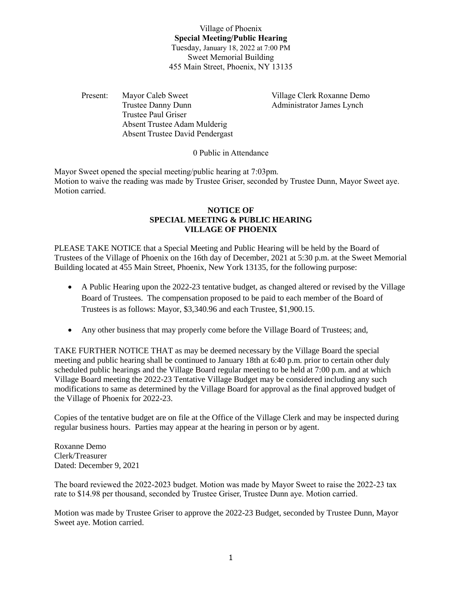Village of Phoenix **Special Meeting/Public Hearing** Tuesday, January 18, 2022 at 7:00 PM Sweet Memorial Building 455 Main Street, Phoenix, NY 13135

Present: Mayor Caleb Sweet Village Clerk Roxanne Demo Trustee Danny Dunn Administrator James Lynch Trustee Paul Griser Absent Trustee Adam Mulderig Absent Trustee David Pendergast

0 Public in Attendance

Mayor Sweet opened the special meeting/public hearing at 7:03pm. Motion to waive the reading was made by Trustee Griser, seconded by Trustee Dunn, Mayor Sweet aye. Motion carried.

## **NOTICE OF SPECIAL MEETING & PUBLIC HEARING VILLAGE OF PHOENIX**

PLEASE TAKE NOTICE that a Special Meeting and Public Hearing will be held by the Board of Trustees of the Village of Phoenix on the 16th day of December, 2021 at 5:30 p.m. at the Sweet Memorial Building located at 455 Main Street, Phoenix, New York 13135, for the following purpose:

- A Public Hearing upon the 2022-23 tentative budget, as changed altered or revised by the Village Board of Trustees. The compensation proposed to be paid to each member of the Board of Trustees is as follows: Mayor, \$3,340.96 and each Trustee, \$1,900.15.
- Any other business that may properly come before the Village Board of Trustees; and,

TAKE FURTHER NOTICE THAT as may be deemed necessary by the Village Board the special meeting and public hearing shall be continued to January 18th at 6:40 p.m. prior to certain other duly scheduled public hearings and the Village Board regular meeting to be held at 7:00 p.m. and at which Village Board meeting the 2022-23 Tentative Village Budget may be considered including any such modifications to same as determined by the Village Board for approval as the final approved budget of the Village of Phoenix for 2022-23.

Copies of the tentative budget are on file at the Office of the Village Clerk and may be inspected during regular business hours. Parties may appear at the hearing in person or by agent.

Roxanne Demo Clerk/Treasurer Dated: December 9, 2021

The board reviewed the 2022-2023 budget. Motion was made by Mayor Sweet to raise the 2022-23 tax rate to \$14.98 per thousand, seconded by Trustee Griser, Trustee Dunn aye. Motion carried.

Motion was made by Trustee Griser to approve the 2022-23 Budget, seconded by Trustee Dunn, Mayor Sweet aye. Motion carried.